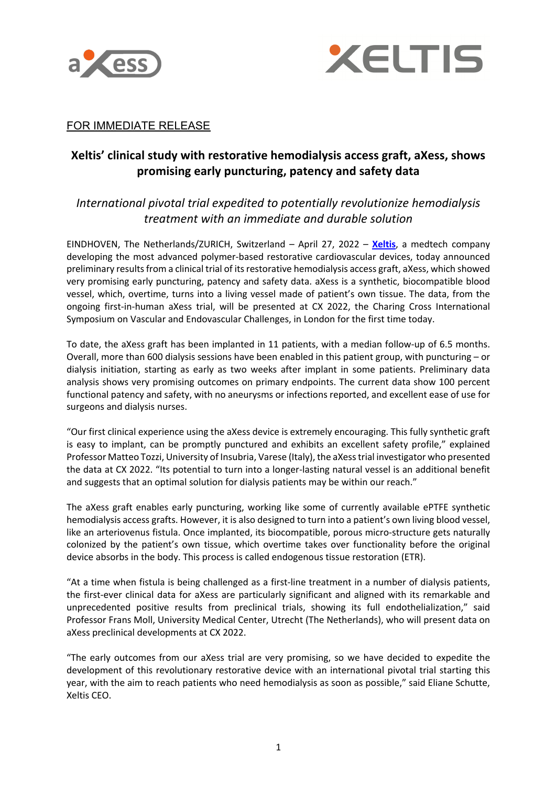



## FOR IMMEDIATE RELEASE

# **Xeltis' clinical study with restorative hemodialysis access graft, aXess, shows promising early puncturing, patency and safety data**

# *International pivotal trial expedited to potentially revolutionize hemodialysis treatment with an immediate and durable solution*

EINDHOVEN, The Netherlands/ZURICH, Switzerland – April 27, 2022 – **Xeltis**, a medtech company developing the most advanced polymer-based restorative cardiovascular devices, today announced preliminary results from a clinical trial of its restorative hemodialysis access graft, aXess, which showed very promising early puncturing, patency and safety data. aXess is a synthetic, biocompatible blood vessel, which, overtime, turns into a living vessel made of patient's own tissue. The data, from the ongoing first-in-human aXess trial, will be presented at CX 2022, the Charing Cross International Symposium on Vascular and Endovascular Challenges, in London for the first time today.

To date, the aXess graft has been implanted in 11 patients, with a median follow-up of 6.5 months. Overall, more than 600 dialysis sessions have been enabled in this patient group, with puncturing – or dialysis initiation, starting as early as two weeks after implant in some patients. Preliminary data analysis shows very promising outcomes on primary endpoints. The current data show 100 percent functional patency and safety, with no aneurysms or infections reported, and excellent ease of use for surgeons and dialysis nurses.

"Our first clinical experience using the aXess device is extremely encouraging. This fully synthetic graft is easy to implant, can be promptly punctured and exhibits an excellent safety profile," explained Professor Matteo Tozzi, University of Insubria, Varese (Italy), the aXess trial investigator who presented the data at CX 2022. "Its potential to turn into a longer-lasting natural vessel is an additional benefit and suggests that an optimal solution for dialysis patients may be within our reach."

The aXess graft enables early puncturing, working like some of currently available ePTFE synthetic hemodialysis access grafts. However, it is also designed to turn into a patient's own living blood vessel, like an arteriovenus fistula. Once implanted, its biocompatible, porous micro-structure gets naturally colonized by the patient's own tissue, which overtime takes over functionality before the original device absorbs in the body. This process is called endogenous tissue restoration (ETR).

"At a time when fistula is being challenged as a first-line treatment in a number of dialysis patients, the first-ever clinical data for aXess are particularly significant and aligned with its remarkable and unprecedented positive results from preclinical trials, showing its full endothelialization," said Professor Frans Moll, University Medical Center, Utrecht (The Netherlands), who will present data on aXess preclinical developments at CX 2022.

"The early outcomes from our aXess trial are very promising, so we have decided to expedite the development of this revolutionary restorative device with an international pivotal trial starting this year, with the aim to reach patients who need hemodialysis as soon as possible," said Eliane Schutte, Xeltis CEO.